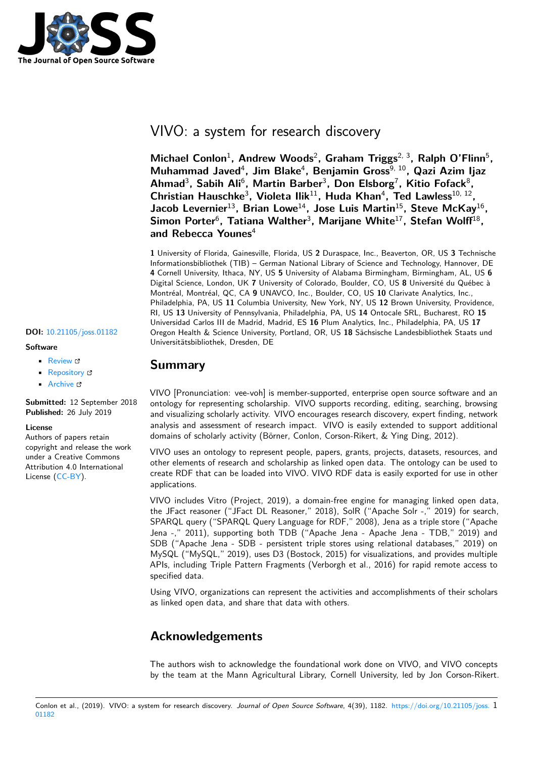

# VIVO: a system for research discovery

Michael Conlon<sup>1</sup>, Andrew Woods<sup>2</sup>, Graham Triggs<sup>2, 3</sup>, Ralph O'Flinn<sup>5</sup>, **Muhammad Javed**<sup>4</sup> **, Jim Blake**<sup>4</sup> **, Benjamin Gross**9, 10**, Qazi Azim Ijaz** Ahmad<sup>3</sup>, Sabih Ali<sup>6</sup>, Martin Barber<sup>3</sup>, Don Elsborg<sup>7</sup>, Kitio Fofack<sup>8</sup>, Christian Hauschke<sup>3</sup>, Violeta Ilik<sup>11</sup>, Huda Khan<sup>4</sup>, Ted Lawless<sup>10, 12</sup>, **Jacob Levernier**<sup>13</sup>**, Brian Lowe**<sup>14</sup>**, Jose Luis Martin**<sup>15</sup>**, Steve McKay**<sup>16</sup> **,** Simon Porter<sup>6</sup>, Tatiana Walther<sup>3</sup>, Marijane White<sup>17</sup>, Stefan Wolff<sup>18</sup>, **and Rebecca Younes**<sup>4</sup>

**1** University of Florida, Gainesville, Florida, US **2** Duraspace, Inc., Beaverton, OR, US **3** Technische Informationsbibliothek (TIB) – German National Library of Science and Technology, Hannover, DE **4** Cornell University, Ithaca, NY, US **5** University of Alabama Birmingham, Birmingham, AL, US **6** Digital Science, London, UK **7** University of Colorado, Boulder, CO, US **8** Université du Québec à Montréal, Montréal, QC, CA **9** UNAVCO, Inc., Boulder, CO, US **10** Clarivate Analytics, Inc., Philadelphia, PA, US **11** Columbia University, New York, NY, US **12** Brown University, Providence, RI, US **13** University of Pennsylvania, Philadelphia, PA, US **14** Ontocale SRL, Bucharest, RO **15** Universidad Carlos III de Madrid, Madrid, ES **16** Plum Analytics, Inc., Philadelphia, PA, US **17** Oregon Health & Science University, Portland, OR, US **18** Sächsische Landesbibliothek Staats und Universitätsbibliothek, Dresden, DE

### **Summary**

VIVO [Pronunciation: vee-voh] is member-supported, enterprise open source software and an ontology for representing scholarship. VIVO supports recording, editing, searching, browsing and visualizing scholarly activity. VIVO encourages research discovery, expert finding, network analysis and assessment of research impact. VIVO is easily extended to support additional domains of scholarly activity (Börner, Conlon, Corson-Rikert, & Ying Ding, 2012).

VIVO uses an ontology to represent people, papers, grants, projects, datasets, resources, and other elements of research and scholarship as linked open data. The ontology can be used to create RDF that can be loaded into VIVO. VIVO RDF data is easily exported for use in other applications.

VIVO includes Vitro (Project, 2019), a domain-free engine for managing linked open data, the JFact reasoner ("JFact DL Reasoner," 2018), SolR ("Apache Solr -," 2019) for search, SPARQL query ("SPARQL Query Language for RDF," 2008), Jena as a triple store ("Apache Jena -," 2011), supporting both TDB ("Apache Jena - Apache Jena - TDB," 2019) and SDB ("Apache Jena - SDB - persistent triple stores using relational databases," 2019) on MySQL ("MySQL," 2019), uses D3 (Bostock, 2015) for visualizations, and provides multiple APIs, including Triple Pattern Fragments (Verborgh et al., 2016) for rapid remote access to specified data.

Using VIVO, organizations can represent the activities and accomplishments of their scholars as linked open data, and share that data with others.

## **Acknowledgements**

The authors wish to acknowledge the foundational work done on VIVO, and VIVO concepts by the team at the Mann Agricultural Library, Cornell University, led by Jon Corson-Rikert.

#### Conlon et al., (2019). VIVO: a system for research discovery. *Journal of Open Source Software*, 4(39), 1182. https://doi.org/10.21105/joss. 101182

### **DOI:** 10.21105/joss.01182

### **Software**

- Review C
- [Repository](https://doi.org/10.21105/joss.01182) C
- Archive

**Subm[itted:](https://github.com/openjournals/joss-reviews/issues/1182)** 12 September 2018 **Published:** [26 Ju](https://github.com/vivo-project/VIVO)ly 2019

#### **Licen[se](https://doi.org/10.5281/zenodo.2639714)**

Authors of papers retain copyright and release the work under a Creative Commons Attribution 4.0 International License (CC-BY).